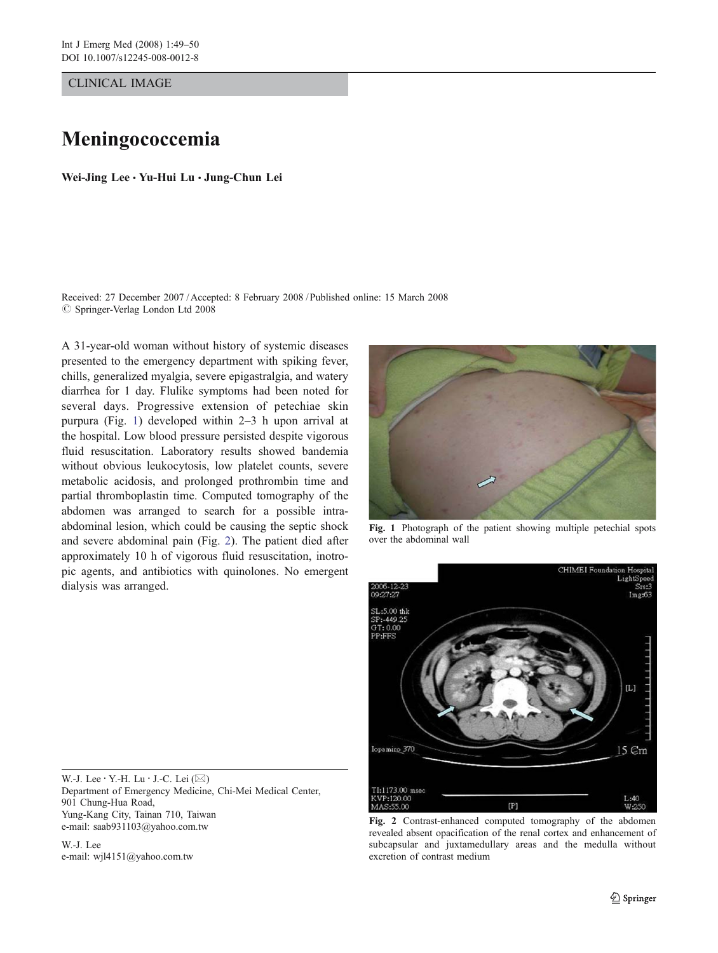CLINICAL IMAGE

## Meningococcemia

Wei-Jing Lee · Yu-Hui Lu · Jung-Chun Lei

Received: 27 December 2007 / Accepted: 8 February 2008 / Published online: 15 March 2008  $\oslash$  Springer-Verlag London Ltd 2008

A 31-year-old woman without history of systemic diseases presented to the emergency department with spiking fever, chills, generalized myalgia, severe epigastralgia, and watery diarrhea for 1 day. Flulike symptoms had been noted for several days. Progressive extension of petechiae skin purpura (Fig. 1) developed within 2–3 h upon arrival at the hospital. Low blood pressure persisted despite vigorous fluid resuscitation. Laboratory results showed bandemia without obvious leukocytosis, low platelet counts, severe metabolic acidosis, and prolonged prothrombin time and partial thromboplastin time. Computed tomography of the abdomen was arranged to search for a possible intraabdominal lesion, which could be causing the septic shock and severe abdominal pain (Fig. 2). The patient died after approximately 10 h of vigorous fluid resuscitation, inotropic agents, and antibiotics with quinolones. No emergent dialysis was arranged.

Fig. 1 Photograph of the patient showing multiple petechial spots over the abdominal wall

W.-J. Lee · Y.-H. Lu · J.-C. Lei (⊠) Department of Emergency Medicine, Chi-Mei Medical Center, 901 Chung-Hua Road, Yung-Kang City, Tainan 710, Taiwan e-mail: saab931103@yahoo.com.tw

W.-J. Lee e-mail: wjl4151@yahoo.com.tw



Fig. 2 Contrast-enhanced computed tomography of the abdomen revealed absent opacification of the renal cortex and enhancement of subcapsular and juxtamedullary areas and the medulla without excretion of contrast medium